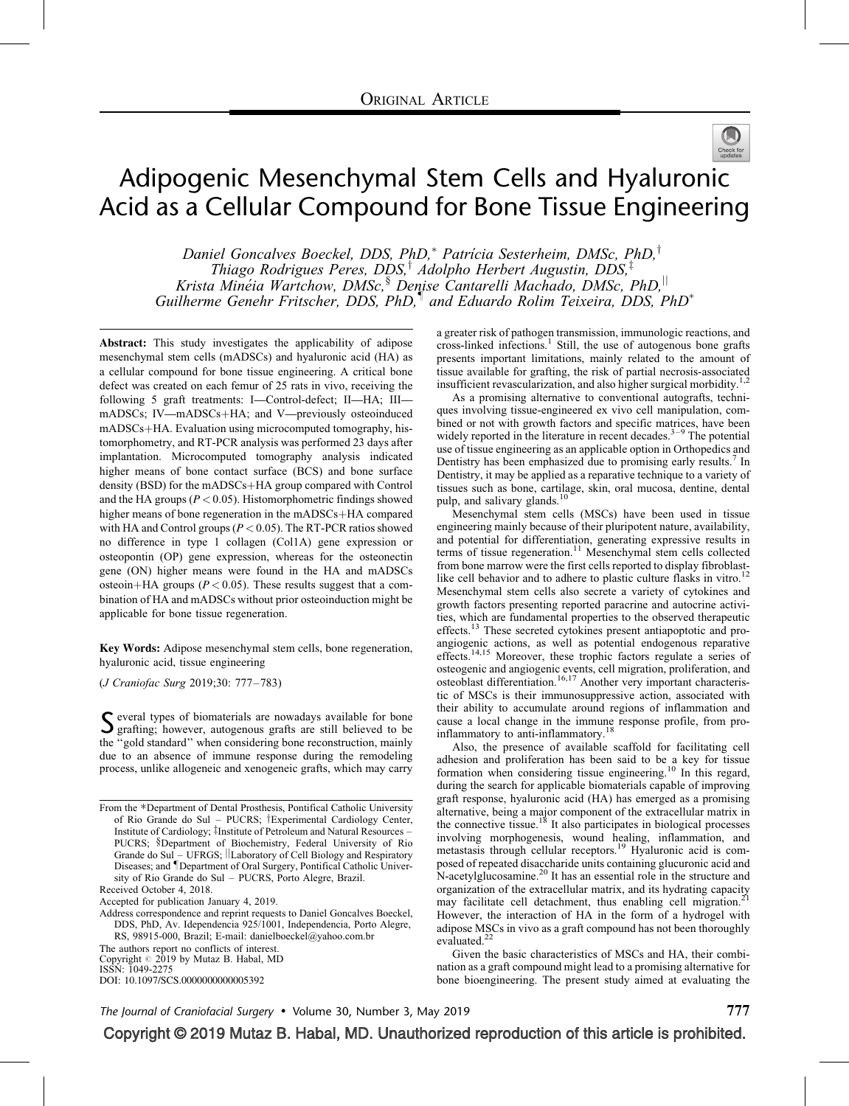# Adipogenic Mesenchymal Stem Cells and Hyaluronic Acid as a Cellular Compound for Bone Tissue Engineering

Daniel Goncalves Boeckel, DDS, PhD, $^*$  Patrícia Sesterheim, DMSc, PhD, $^{\dagger}$  $T$ hiago Rodrigues Peres,  $DDS<sup>†</sup>$  Adolpho Herbert Augustin,  $DDS<sup>†</sup>$ Krista Minéia Wartchow, DMSc,  $\delta$  Denise Cantarelli Machado, DMSc, PhD, Guilherme Genehr Fritscher, DDS, PhD, and Eduardo Rolim Teixeira, DDS, PhD<sup>\*</sup>

Abstract: This study investigates the applicability of adipose mesenchymal stem cells (mADSCs) and hyaluronic acid (HA) as a cellular compound for bone tissue engineering. A critical bone defect was created on each femur of 25 rats in vivo, receiving the following 5 graft treatments: I—Control-defect; II—HA; III mADSCs; IV—mADSCs+HA; and V—previously osteoinduced mADSCs+HA. Evaluation using microcomputed tomography, histomorphometry, and RT-PCR analysis was performed 23 days after implantation. Microcomputed tomography analysis indicated higher means of bone contact surface (BCS) and bone surface density (BSD) for the mADSCs+HA group compared with Control and the HA groups ( $P < 0.05$ ). Histomorphometric findings showed higher means of bone regeneration in the  $mADSCs + HA$  compared with HA and Control groups ( $P < 0.05$ ). The RT-PCR ratios showed no difference in type 1 collagen (Col1A) gene expression or osteopontin (OP) gene expression, whereas for the osteonectin gene (ON) higher means were found in the HA and mADSCs osteoin+HA groups ( $P < 0.05$ ). These results suggest that a combination of HA and mADSCs without prior osteoinduction might be applicable for bone tissue regeneration.

Key Words: Adipose mesenchymal stem cells, bone regeneration, hyaluronic acid, tissue engineering

(J Craniofac Surg 2019;30: 777–783)

Several types of biomaterials are nowadays available for bone grafting; however, autogenous grafts are still believed to be the ''gold standard'' when considering bone reconstruction, mainly due to an absence of immune response during the remodeling process, unlike allogeneic and xenogeneic grafts, which may carry

The authors report no conflicts of interest.

Copyright  $@$  2019 by Mutaz B. Habal, MD ISSN: 1049-2275

DOI: [10.1097/SCS.0000000000005392](http://dx.doi.org/10.1097/SCS.0000000000005392)

a greater risk of pathogen transmission, immunologic reactions, and cross-linked infections.<sup>[1](#page-5-0)</sup> Still, the use of autogenous bone grafts presents important limitations, mainly related to the amount of tissue available for grafting, the risk of partial necrosis-associated insufficient revascularization, and also higher surgical morbidity.<sup>1,2</sup>

As a promising alternative to conventional autografts, techniques involving tissue-engineered ex vivo cell manipulation, combined or not with growth factors and specific matrices, have been widely reported in the literature in recent decades.<sup>[3–9](#page-5-0)</sup> The potential use of tissue engineering as an applicable option in Orthopedics and Dentistry has been emphasized due to promising early results.<sup>[7](#page-5-0)</sup> In Dentistry, it may be applied as a reparative technique to a variety of tissues such as bone, cartilage, skin, oral mucosa, dentine, dental pulp, and salivary glands.<sup>[10](#page-5-0)</sup>

Mesenchymal stem cells (MSCs) have been used in tissue engineering mainly because of their pluripotent nature, availability, and potential for differentiation, generating expressive results in terms of tissue regeneration.<sup>[11](#page-5-0)</sup> Mesenchymal stem cells collected from bone marrow were the first cells reported to display fibroblastlike cell behavior and to adhere to plastic culture flasks in vitro.<sup>12</sup> Mesenchymal stem cells also secrete a variety of cytokines and growth factors presenting reported paracrine and autocrine activities, which are fundamental properties to the observed therapeutic effects.<sup>[13](#page-5-0)</sup> These secreted cytokines present antiapoptotic and proangiogenic actions, as well as potential endogenous reparative effects.<sup>[14,15](#page-5-0)</sup> Moreover, these trophic factors regulate a series of osteogenic and angiogenic events, cell migration, proliferation, and osteoblast differentiation.<sup>[16,17](#page-5-0)</sup> Another very important characteristic of MSCs is their immunosuppressive action, associated with their ability to accumulate around regions of inflammation and cause a local change in the immune response profile, from pro-inflammatory to anti-inflammatory.<sup>[18](#page-5-0)</sup>

Also, the presence of available scaffold for facilitating cell adhesion and proliferation has been said to be a key for tissue formation when considering tissue engineering.<sup>[10](#page-5-0)</sup> In this regard, during the search for applicable biomaterials capable of improving graft response, hyaluronic acid (HA) has emerged as a promising alternative, being a major component of the extracellular matrix in the connective tissue.<sup>[18](#page-5-0)</sup> It also participates in biological processes involving morphogenesis, wound healing, inflammation, and<br>metastasis through cellular receptors.<sup>[19](#page-5-0)</sup> Hyaluronic acid is composed of repeated disaccharide units containing glucuronic acid and N-acetylglucosamine.<sup>[20](#page-5-0)</sup> It has an essential role in the structure and organization of the extracellular matrix, and its hydrating capacity may facilitate cell detachment, thus enabling cell migration.<sup>[21](#page-5-0)</sup> However, the interaction of HA in the form of a hydrogel with adipose MSCs in vivo as a graft compound has not been thoroughly evaluated. $2<sup>2</sup>$ 

Given the basic characteristics of MSCs and HA, their combination as a graft compound might lead to a promising alternative for bone bioengineering. The present study aimed at evaluating the

The Journal of Craniofacial Surgery • Volume 30, Number 3, May 2019 777 777 777

From the \*Department of Dental Prosthesis, Pontifical Catholic University of Rio Grande do Sul – PUCRS;  $\dagger$ Experimental Cardiology Center, Institute of Cardiology; ‡Institute of Petroleum and Natural Resources – PUCRS; §Department of Biochemistry, Federal University of Rio Grande do Sul - UFRGS; |Laboratory of Cell Biology and Respiratory Diseases; and *Department of Oral Surgery*, Pontifical Catholic University of Rio Grande do Sul – PUCRS, Porto Alegre, Brazil. Received October 4, 2018.

Accepted for publication January 4, 2019.

Address correspondence and reprint requests to Daniel Goncalves Boeckel,

DDS, PhD, Av. Idependencia 925/1001, Independencia, Porto Alegre, RS, 98915-000, Brazil; E-mail: [danielboeckel@yahoo.com.br](mailto:danielboeckel@yahoo.com.br)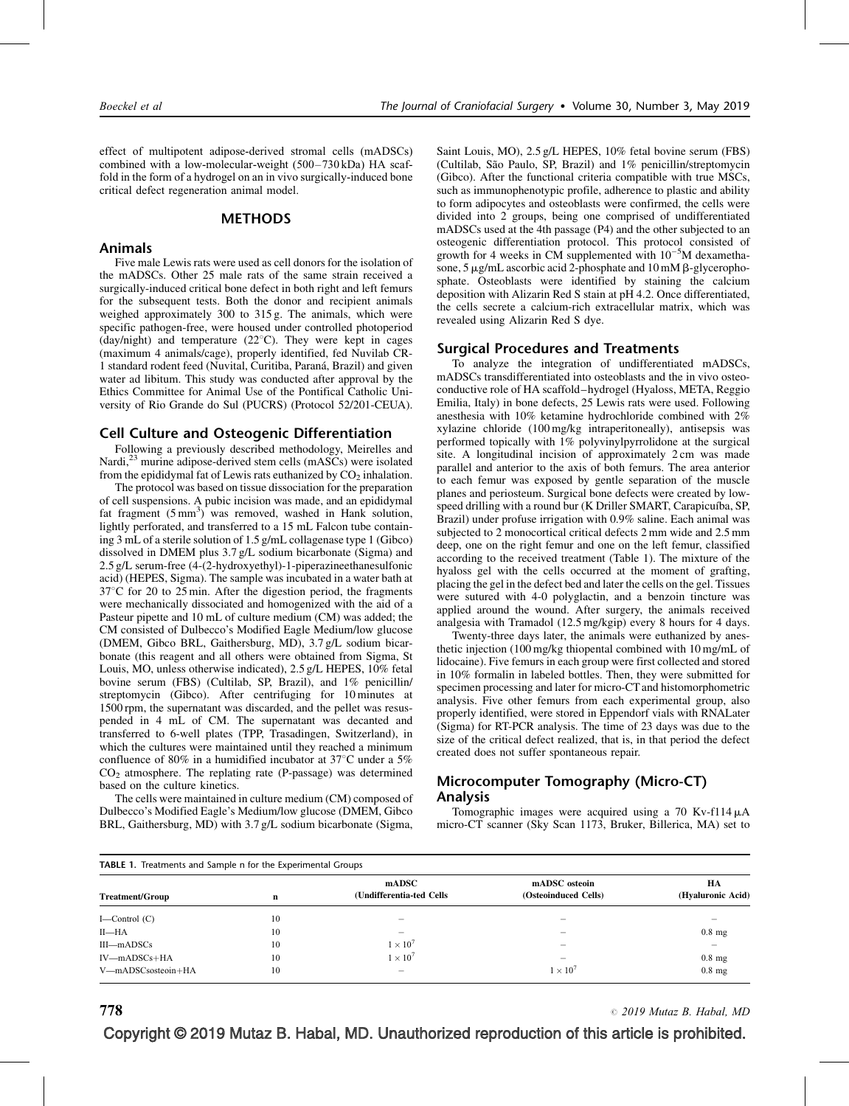effect of multipotent adipose-derived stromal cells (mADSCs) combined with a low-molecular-weight (500–730 kDa) HA scaffold in the form of a hydrogel on an in vivo surgically-induced bone critical defect regeneration animal model.

#### **METHODS**

#### Animals

Five male Lewis rats were used as cell donors for the isolation of the mADSCs. Other 25 male rats of the same strain received a surgically-induced critical bone defect in both right and left femurs for the subsequent tests. Both the donor and recipient animals weighed approximately 300 to 315 g. The animals, which were specific pathogen-free, were housed under controlled photoperiod (day/night) and temperature  $(22^{\circ}C)$ . They were kept in cages (maximum 4 animals/cage), properly identified, fed Nuvilab CR-1 standard rodent feed (Nuvital, Curitiba, Paraná, Brazil) and given water ad libitum. This study was conducted after approval by the Ethics Committee for Animal Use of the Pontifical Catholic University of Rio Grande do Sul (PUCRS) (Protocol 52/201-CEUA).

#### Cell Culture and Osteogenic Differentiation

Following a previously described methodology, Meirelles and Nardi,<sup>[23](#page-5-0)</sup> murine adipose-derived stem cells (mASCs) were isolated from the epididymal fat of Lewis rats euthanized by  $CO<sub>2</sub>$  inhalation.

The protocol was based on tissue dissociation for the preparation of cell suspensions. A pubic incision was made, and an epididymal fat fragment  $(5 \text{ mm}^3)$  was removed, washed in Hank solution, lightly perforated, and transferred to a 15 mL Falcon tube containing 3 mL of a sterile solution of 1.5 g/mL collagenase type 1 (Gibco) dissolved in DMEM plus 3.7 g/L sodium bicarbonate (Sigma) and 2.5 g/L serum-free (4-(2-hydroxyethyl)-1-piperazineethanesulfonic acid) (HEPES, Sigma). The sample was incubated in a water bath at  $37^{\circ}$ C for 20 to 25 min. After the digestion period, the fragments were mechanically dissociated and homogenized with the aid of a Pasteur pipette and 10 mL of culture medium (CM) was added; the CM consisted of Dulbecco's Modified Eagle Medium/low glucose (DMEM, Gibco BRL, Gaithersburg, MD), 3.7 g/L sodium bicarbonate (this reagent and all others were obtained from Sigma, St Louis, MO, unless otherwise indicated), 2.5 g/L HEPES, 10% fetal bovine serum (FBS) (Cultilab, SP, Brazil), and 1% penicillin/ streptomycin (Gibco). After centrifuging for 10 minutes at 1500 rpm, the supernatant was discarded, and the pellet was resuspended in 4 mL of CM. The supernatant was decanted and transferred to 6-well plates (TPP, Trasadingen, Switzerland), in which the cultures were maintained until they reached a minimum confluence of 80% in a humidified incubator at  $37^{\circ}$ C under a 5%  $CO<sub>2</sub>$  atmosphere. The replating rate (P-passage) was determined based on the culture kinetics.

The cells were maintained in culture medium (CM) composed of Dulbecco's Modified Eagle's Medium/low glucose (DMEM, Gibco BRL, Gaithersburg, MD) with 3.7 g/L sodium bicarbonate (Sigma, Saint Louis, MO), 2.5 g/L HEPES, 10% fetal bovine serum (FBS) (Cultilab, São Paulo, SP, Brazil) and  $1\%$  penicillin/streptomycin (Gibco). After the functional criteria compatible with true MSCs, such as immunophenotypic profile, adherence to plastic and ability to form adipocytes and osteoblasts were confirmed, the cells were divided into 2 groups, being one comprised of undifferentiated mADSCs used at the 4th passage (P4) and the other subjected to an osteogenic differentiation protocol. This protocol consisted of growth for 4 weeks in CM supplemented with  $10^{-5}$ M dexamethasone,  $5 \mu g/mL$  ascorbic acid 2-phosphate and  $10 \text{ mM } \beta$ -glycerophosphate. Osteoblasts were identified by staining the calcium deposition with Alizarin Red S stain at pH 4.2. Once differentiated, the cells secrete a calcium-rich extracellular matrix, which was revealed using Alizarin Red S dye.

# Surgical Procedures and Treatments

To analyze the integration of undifferentiated mADSCs, mADSCs transdifferentiated into osteoblasts and the in vivo osteoconductive role of HA scaffold–hydrogel (Hyaloss, META, Reggio Emilia, Italy) in bone defects, 25 Lewis rats were used. Following anesthesia with 10% ketamine hydrochloride combined with 2% xylazine chloride (100 mg/kg intraperitoneally), antisepsis was performed topically with 1% polyvinylpyrrolidone at the surgical site. A longitudinal incision of approximately 2 cm was made parallel and anterior to the axis of both femurs. The area anterior to each femur was exposed by gentle separation of the muscle planes and periosteum. Surgical bone defects were created by lowspeed drilling with a round bur (K Driller SMART, Carapicuíba, SP, Brazil) under profuse irrigation with 0.9% saline. Each animal was subjected to 2 monocortical critical defects 2 mm wide and 2.5 mm deep, one on the right femur and one on the left femur, classified according to the received treatment (Table 1). The mixture of the hyaloss gel with the cells occurred at the moment of grafting, placing the gel in the defect bed and later the cells on the gel. Tissues were sutured with 4-0 polyglactin, and a benzoin tincture was applied around the wound. After surgery, the animals received analgesia with Tramadol (12.5 mg/kgip) every 8 hours for 4 days.

Twenty-three days later, the animals were euthanized by anesthetic injection (100 mg/kg thiopental combined with 10 mg/mL of lidocaine). Five femurs in each group were first collected and stored in 10% formalin in labeled bottles. Then, they were submitted for specimen processing and later for micro-CT and histomorphometric analysis. Five other femurs from each experimental group, also properly identified, were stored in Eppendorf vials with RNALater (Sigma) for RT-PCR analysis. The time of 23 days was due to the size of the critical defect realized, that is, in that period the defect created does not suffer spontaneous repair.

# Microcomputer Tomography (Micro-CT) Analysis

Tomographic images were acquired using a 70 Kv-f114 $\mu$ A micro-CT scanner (Sky Scan 1173, Bruker, Billerica, MA) set to

| <b>TABLE 1.</b> Treatments and Sample n for the Experimental Groups |    |                                    |                                       |                         |
|---------------------------------------------------------------------|----|------------------------------------|---------------------------------------|-------------------------|
| Treatment/Group                                                     | n  | mADSC<br>(Undifferentia-ted Cells) | mADSC osteoin<br>(Osteoinduced Cells) | HA<br>(Hyaluronic Acid) |
| $I$ —Control $(C)$                                                  | 10 |                                    | –                                     |                         |
| II—HA                                                               | 10 |                                    |                                       | $0.8$ mg                |
| $III$ —mADSCs                                                       | 10 | $1 \times 10^7$                    |                                       |                         |
| IV-mADSCs+HA                                                        | 10 | $1 \times 10^7$                    | –                                     | $0.8$ mg                |
| V-mADSCsosteoin+HA                                                  | 10 |                                    | $1\times10^7$                         | $0.8$ mg                |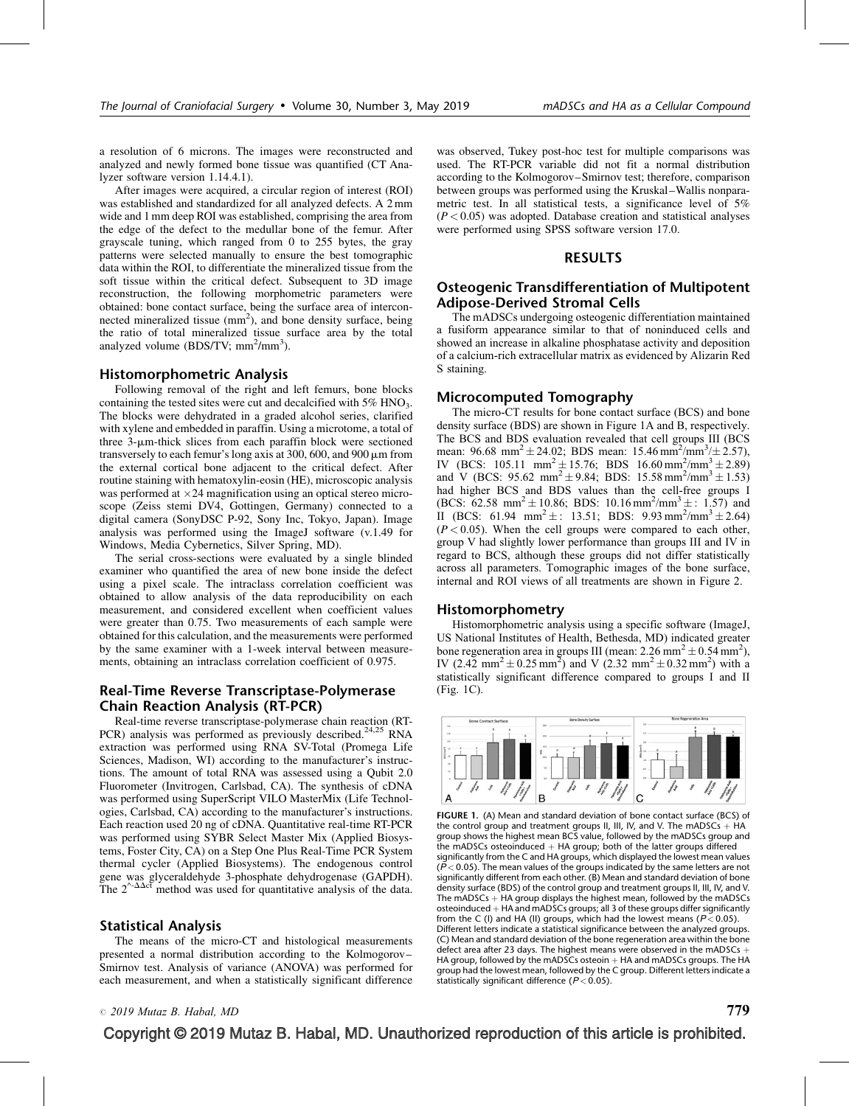a resolution of 6 microns. The images were reconstructed and analyzed and newly formed bone tissue was quantified (CT Analyzer software version 1.14.4.1).

After images were acquired, a circular region of interest (ROI) was established and standardized for all analyzed defects. A 2 mm wide and 1 mm deep ROI was established, comprising the area from the edge of the defect to the medullar bone of the femur. After grayscale tuning, which ranged from 0 to 255 bytes, the gray patterns were selected manually to ensure the best tomographic data within the ROI, to differentiate the mineralized tissue from the soft tissue within the critical defect. Subsequent to 3D image reconstruction, the following morphometric parameters were obtained: bone contact surface, being the surface area of interconnected mineralized tissue  $(mm<sup>2</sup>)$ , and bone density surface, being the ratio of total mineralized tissue surface area by the total analyzed volume (BDS/TV; mm<sup>2</sup>/mm<sup>3</sup>).

#### Histomorphometric Analysis

Following removal of the right and left femurs, bone blocks containing the tested sites were cut and decalcified with 5% HNO<sub>3</sub>. The blocks were dehydrated in a graded alcohol series, clarified with xylene and embedded in paraffin. Using a microtome, a total of three 3-um-thick slices from each paraffin block were sectioned transversely to each femur's long axis at 300, 600, and 900  $\mu$ m from the external cortical bone adjacent to the critical defect. After routine staining with hematoxylin-eosin (HE), microscopic analysis was performed at  $\times 24$  magnification using an optical stereo microscope (Zeiss stemi DV4, Gottingen, Germany) connected to a digital camera (SonyDSC P-92, Sony Inc, Tokyo, Japan). Image analysis was performed using the ImageJ software (v.1.49 for Windows, Media Cybernetics, Silver Spring, MD).

The serial cross-sections were evaluated by a single blinded examiner who quantified the area of new bone inside the defect using a pixel scale. The intraclass correlation coefficient was obtained to allow analysis of the data reproducibility on each measurement, and considered excellent when coefficient values were greater than 0.75. Two measurements of each sample were obtained for this calculation, and the measurements were performed by the same examiner with a 1-week interval between measurements, obtaining an intraclass correlation coefficient of 0.975.

### Real-Time Reverse Transcriptase-Polymerase Chain Reaction Analysis (RT-PCR)

Real-time reverse transcriptase-polymerase chain reaction (RT-PCR) analysis was performed as previously described.<sup>[24,25](#page-5-0)</sup> RNA extraction was performed using RNA SV-Total (Promega Life Sciences, Madison, WI) according to the manufacturer's instructions. The amount of total RNA was assessed using a Qubit 2.0 Fluorometer (Invitrogen, Carlsbad, CA). The synthesis of cDNA was performed using SuperScript VILO MasterMix (Life Technologies, Carlsbad, CA) according to the manufacturer's instructions. Each reaction used 20 ng of cDNA. Quantitative real-time RT-PCR was performed using SYBR Select Master Mix (Applied Biosystems, Foster City, CA) on a Step One Plus Real-Time PCR System thermal cycler (Applied Biosystems). The endogenous control gene was glyceraldehyde 3-phosphate dehydrogenase (GAPDH).<br>The  $2^{\lambda}$ <sup> $\Delta$  $\alpha$ t method was used for quantitative analysis of the data.</sup>

#### Statistical Analysis

The means of the micro-CT and histological measurements presented a normal distribution according to the Kolmogorov– Smirnov test. Analysis of variance (ANOVA) was performed for each measurement, and when a statistically significant difference was observed, Tukey post-hoc test for multiple comparisons was used. The RT-PCR variable did not fit a normal distribution according to the Kolmogorov–Smirnov test; therefore, comparison between groups was performed using the Kruskal–Wallis nonparametric test. In all statistical tests, a significance level of 5%  $(P<0.05)$  was adopted. Database creation and statistical analyses were performed using SPSS software version 17.0.

#### RESULTS

## Osteogenic Transdifferentiation of Multipotent Adipose-Derived Stromal Cells

The mADSCs undergoing osteogenic differentiation maintained a fusiform appearance similar to that of noninduced cells and showed an increase in alkaline phosphatase activity and deposition of a calcium-rich extracellular matrix as evidenced by Alizarin Red S staining.

#### Microcomputed Tomography

The micro-CT results for bone contact surface (BCS) and bone density surface (BDS) are shown in Figure 1A and B, respectively. The BCS and BDS evaluation revealed that cell groups III (BCS mean:  $96.68 \text{ mm}^2 \pm 24.02$ ; BDS mean:  $15.46 \text{ mm}^2/\text{mm}^3/\pm 2.57$ ), IV (BCS: 105.11 mm<sup>2</sup> $\pm$ 15.76; BDS 16.60 mm<sup>2</sup>/mm<sup>3</sup> $\pm$ 2.89) and V (BCS: 95.62 mm<sup>2</sup>  $\pm$  9.84; BDS: 15.58 mm<sup>2</sup>/mm<sup>3</sup>  $\pm$  1.53) had higher BCS and BDS values than the cell-free groups I (BCS: 62.58 mm<sup>2</sup>  $\pm$  10.86; BDS: 10.16 mm<sup>2</sup>/mm<sup>3</sup>  $\pm$ : 1.57) and II (BCS: 61.94 mm<sup>2</sup>  $\pm$ : 13.51; BDS: 9.93 mm<sup>2</sup>/mm<sup>3</sup>  $\pm$  2.64)  $(P<0.05)$ . When the cell groups were compared to each other, group V had slightly lower performance than groups III and IV in regard to BCS, although these groups did not differ statistically across all parameters. Tomographic images of the bone surface, internal and ROI views of all treatments are shown in [Figure 2.](#page-3-0)

#### Histomorphometry

Histomorphometric analysis using a specific software (ImageJ, US National Institutes of Health, Bethesda, MD) indicated greater bone regeneration area in groups III (mean:  $2.26 \text{ mm}^2 \pm 0.54 \text{ mm}^2$ ), IV (2.42 mm<sup>2</sup>  $\pm$  0.25 mm<sup>2</sup>) and V (2.32 mm<sup>2</sup>  $\pm$  0.32 mm<sup>2</sup>) with a statistically significant difference compared to groups I and II (Fig. 1C).



FIGURE 1. (A) Mean and standard deviation of bone contact surface (BCS) of the control group and treatment groups II, III, IV, and V. The mADSCs  $+$  HA group shows the highest mean BCS value, followed by the mADSCs group and the mADSCs osteoinduced  $+$  HA group; both of the latter groups differed significantly from the C and HA groups, which displayed the lowest mean values  $(\overline{P}$  < 0.05). The mean values of the groups indicated by the same letters are not significantly different from each other. (B) Mean and standard deviation of bone density surface (BDS) of the control group and treatment groups II, III, IV, and V. The mADSCs  $+$  HA group displays the highest mean, followed by the mADSCs osteoinduced  $+$  HA and mADSCs groups; all 3 of these groups differ significantly from the C (I) and HA (II) groups, which had the lowest means ( $P < 0.05$ ). Different letters indicate a statistical significance between the analyzed groups. (C) Mean and standard deviation of the bone regeneration area within the bone defect area after 23 days. The highest means were observed in the mADSCs  $+$ HA group, followed by the mADSCs osteoin  $+$  HA and mADSCs groups. The HA group had the lowest mean, followed by the C group. Different letters indicate a statistically significant difference ( $P < 0.05$ ).

 $\circ$  2019 Mutaz B. Habal, MD 779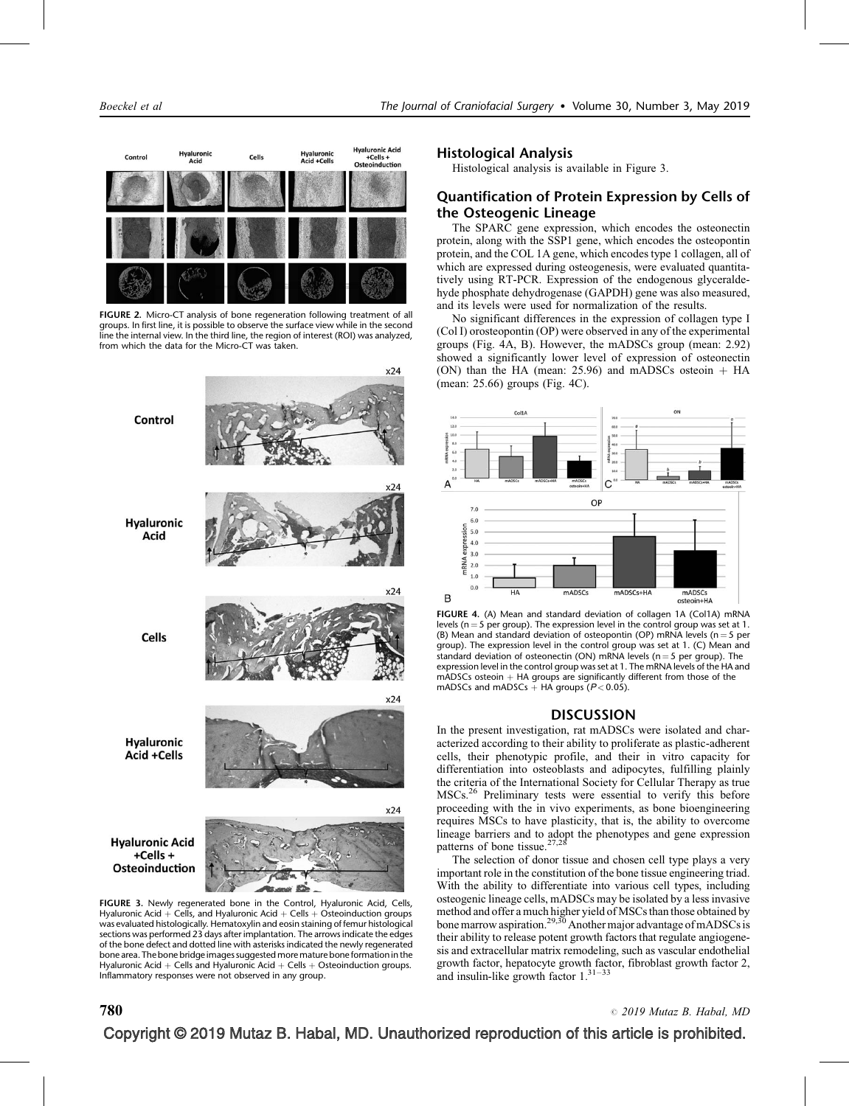<span id="page-3-0"></span>

FIGURE 2. Micro-CT analysis of bone regeneration following treatment of all groups. In first line, it is possible to observe the surface view while in the second line the internal view. In the third line, the region of interest (ROI) was analyzed, from which the data for the Micro-CT was taken.



FIGURE 3. Newly regenerated bone in the Control, Hyaluronic Acid, Cells, Hyaluronic Acid  $+$  Cells, and Hyaluronic Acid  $+$  Cells  $+$  Osteoinduction groups was evaluated histologically. Hematoxylin and eosin staining of femur histological sections was performed 23 days after implantation. The arrows indicate the edges of the bone defect and dotted line with asterisks indicated the newly regenerated bone area. The bone bridge images suggested more mature bone formation in the Hyaluronic Acid  $+$  Cells and Hyaluronic Acid  $+$  Cells  $+$  Osteoinduction groups. Inflammatory responses were not observed in any group.

#### Histological Analysis

Histological analysis is available in Figure 3.

### Quantification of Protein Expression by Cells of the Osteogenic Lineage

The SPARC gene expression, which encodes the osteonectin protein, along with the SSP1 gene, which encodes the osteopontin protein, and the COL 1A gene, which encodes type 1 collagen, all of which are expressed during osteogenesis, were evaluated quantitatively using RT-PCR. Expression of the endogenous glyceraldehyde phosphate dehydrogenase (GAPDH) gene was also measured, and its levels were used for normalization of the results.

No significant differences in the expression of collagen type I (Col I) orosteopontin (OP) were observed in any of the experimental groups (Fig. 4A, B). However, the mADSCs group (mean: 2.92) showed a significantly lower level of expression of osteonectin (ON) than the HA (mean: 25.96) and mADSCs osteoin  $+$  HA (mean: 25.66) groups (Fig. 4C).



FIGURE 4. (A) Mean and standard deviation of collagen 1A (Col1A) mRNA levels ( $n = 5$  per group). The expression level in the control group was set at 1. (B) Mean and standard deviation of osteopontin (OP) mRNA levels ( $n = 5$  per group). The expression level in the control group was set at 1. (C) Mean and standard deviation of osteonectin (ON) mRNA levels ( $n = 5$  per group). The expression level in the control group was set at 1. The mRNA levels of the HA and  $mADSCs$  osteoin  $+$  HA groups are significantly different from those of the mADSCs and mADSCs  $+$  HA groups ( $P$  < 0.05).

#### **DISCUSSION**

In the present investigation, rat mADSCs were isolated and characterized according to their ability to proliferate as plastic-adherent cells, their phenotypic profile, and their in vitro capacity for differentiation into osteoblasts and adipocytes, fulfilling plainly the criteria of the International Society for Cellular Therapy as true MSCs[.26](#page-5-0) Preliminary tests were essential to verify this before proceeding with the in vivo experiments, as bone bioengineering requires MSCs to have plasticity, that is, the ability to overcome lineage barriers and to adopt the phenotypes and gene expression patterns of bone tissue.<sup>27,2</sup>

The selection of donor tissue and chosen cell type plays a very important role in the constitution of the bone tissue engineering triad. With the ability to differentiate into various cell types, including osteogenic lineage cells, mADSCs may be isolated by a less invasive method and offer a much higher yield of MSCs than those obtained by<br>bone marrow aspiration.<sup>[29,30](#page-5-0)</sup> Another major advantage of mADSCs is their ability to release potent growth factors that regulate angiogenesis and extracellular matrix remodeling, such as vascular endothelial growth factor, hepatocyte growth factor, fibroblast growth factor 2, and insulin-like growth factor  $1.^{31-33}$ 

**780**  $\degree$  2019 Mutaz B. Habal, MD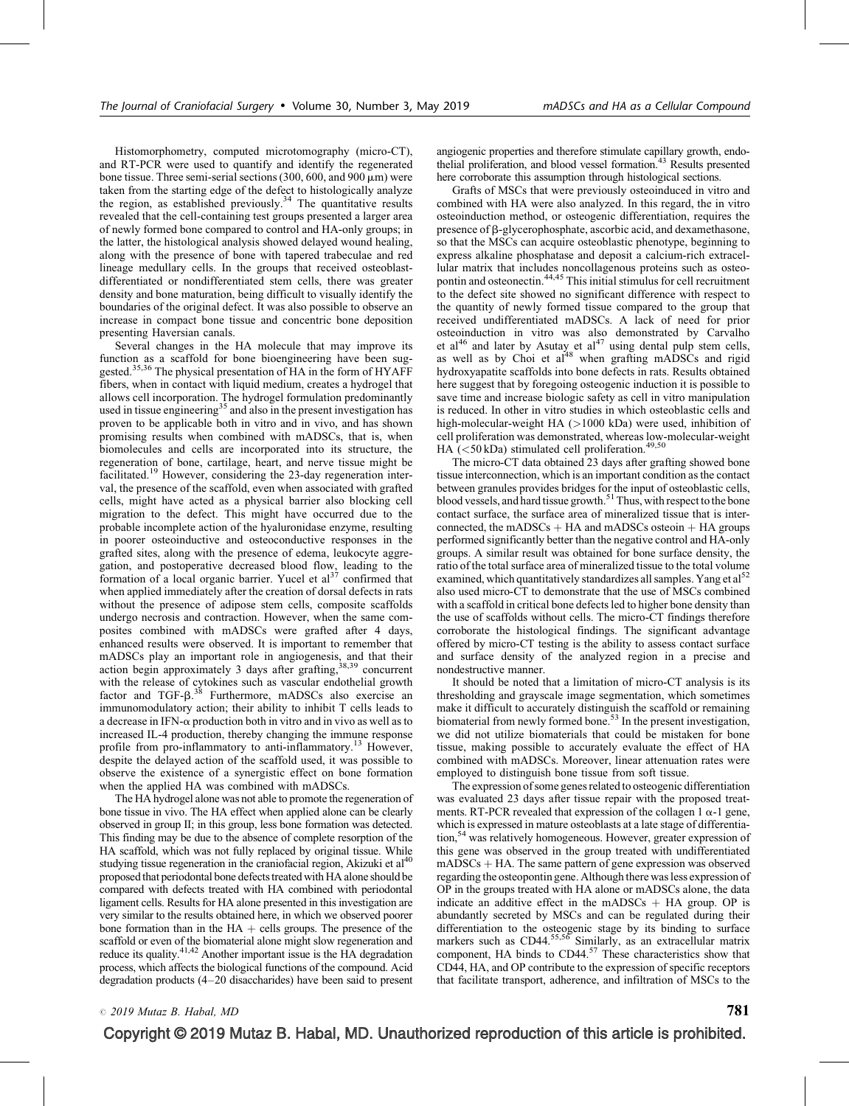Histomorphometry, computed microtomography (micro-CT), and RT-PCR were used to quantify and identify the regenerated bone tissue. Three semi-serial sections  $(300, 600,$  and  $900 \mu m)$  were taken from the starting edge of the defect to histologically analyze the region, as established previously.<sup>[34](#page-5-0)</sup> The quantitative results revealed that the cell-containing test groups presented a larger area of newly formed bone compared to control and HA-only groups; in the latter, the histological analysis showed delayed wound healing, along with the presence of bone with tapered trabeculae and red lineage medullary cells. In the groups that received osteoblastdifferentiated or nondifferentiated stem cells, there was greater density and bone maturation, being difficult to visually identify the boundaries of the original defect. It was also possible to observe an increase in compact bone tissue and concentric bone deposition presenting Haversian canals.

Several changes in the HA molecule that may improve its function as a scaffold for bone bioengineering have been sug-gested.<sup>[35,36](#page-6-0)</sup> The physical presentation of HA in the form of HYAFF fibers, when in contact with liquid medium, creates a hydrogel that allows cell incorporation. The hydrogel formulation predominantly used in tissue engineering<sup>[35](#page-6-0)</sup> and also in the present investigation has proven to be applicable both in vitro and in vivo, and has shown promising results when combined with mADSCs, that is, when biomolecules and cells are incorporated into its structure, the regeneration of bone, cartilage, heart, and nerve tissue might be facilitated.<sup>[19](#page-5-0)</sup> However, considering the 23-day regeneration interval, the presence of the scaffold, even when associated with grafted cells, might have acted as a physical barrier also blocking cell migration to the defect. This might have occurred due to the probable incomplete action of the hyaluronidase enzyme, resulting in poorer osteoinductive and osteoconductive responses in the grafted sites, along with the presence of edema, leukocyte aggre-gation, and postoperative decreased blood flow, leading to the formation of a local organic barrier. Yucel et al<sup>[37](#page-6-0)</sup> confirmed that when applied immediately after the creation of dorsal defects in rats without the presence of adipose stem cells, composite scaffolds undergo necrosis and contraction. However, when the same composites combined with mADSCs were grafted after 4 days, enhanced results were observed. It is important to remember that mADSCs play an important role in angiogenesis, and that their action begin approximately 3 days after grafting,<sup>[38,39](#page-6-0)</sup> concurrent with the release of cytokines such as vascular endothelial growth factor and TGF- $\beta$ .<sup>[38](#page-6-0)</sup> Furthermore, mADSCs also exercise an immunomodulatory action; their ability to inhibit T cells leads to a decrease in IFN- $\alpha$  production both in vitro and in vivo as well as to increased IL-4 production, thereby changing the immune response profile from pro-inflammatory to anti-inflammatory.<sup>[13](#page-5-0)</sup> However, despite the delayed action of the scaffold used, it was possible to observe the existence of a synergistic effect on bone formation when the applied HA was combined with mADSCs.

The HA hydrogel alone was not able to promote the regeneration of bone tissue in vivo. The HA effect when applied alone can be clearly observed in group II; in this group, less bone formation was detected. This finding may be due to the absence of complete resorption of the HA scaffold, which was not fully replaced by original tissue. While studying tissue regeneration in the craniofacial region, Akizuki et  $al<sup>40</sup>$ proposed that periodontal bone defects treated with HA alone should be compared with defects treated with HA combined with periodontal ligament cells. Results for HA alone presented in this investigation are very similar to the results obtained here, in which we observed poorer bone formation than in the  $HA +$  cells groups. The presence of the scaffold or even of the biomaterial alone might slow regeneration and reduce its quality.<sup>41,42</sup> Another important issue is the HA degradation process, which affects the biological functions of the compound. Acid degradation products (4–20 disaccharides) have been said to present

angiogenic properties and therefore stimulate capillary growth, endothelial proliferation, and blood vessel formation.<sup>43</sup> Results presented here corroborate this assumption through histological sections.

Grafts of MSCs that were previously osteoinduced in vitro and combined with HA were also analyzed. In this regard, the in vitro osteoinduction method, or osteogenic differentiation, requires the presence of  $\beta$ -glycerophosphate, ascorbic acid, and dexamethasone, so that the MSCs can acquire osteoblastic phenotype, beginning to express alkaline phosphatase and deposit a calcium-rich extracel-lular matrix that includes noncollagenous proteins such as osteo-<br>pontin and osteonectin.<sup>[44,45](#page-6-0)</sup> This initial stimulus for cell recruitment to the defect site showed no significant difference with respect to the quantity of newly formed tissue compared to the group that received undifferentiated mADSCs. A lack of need for prior osteoinduction in vitro was also demonstrated by Carvalho et al<sup>[46](#page-6-0)</sup> and later by Asutay et al<sup>[47](#page-6-0)</sup> using dental pulp stem cells, as well as by Choi et  $al^{48}$  when grafting mADSCs and rigid hydroxyapatite scaffolds into bone defects in rats. Results obtained here suggest that by foregoing osteogenic induction it is possible to save time and increase biologic safety as cell in vitro manipulation is reduced. In other in vitro studies in which osteoblastic cells and high-molecular-weight HA (>1000 kDa) were used, inhibition of cell proliferation was demonstrated, whereas low-molecular-weight HA ( $<$ 50 kDa) stimulated cell proliferation.<sup>[49,50](#page-6-0)</sup>

The micro-CT data obtained 23 days after grafting showed bone tissue interconnection, which is an important condition as the contact between granules provides bridges for the input of osteoblastic cells, blood vessels, and hard tissue growth.<sup>51</sup> Thus, with respect to the bone contact surface, the surface area of mineralized tissue that is interconnected, the mADSCs  $+$  HA and mADSCs osteoin  $+$  HA groups performed significantly better than the negative control and HA-only groups. A similar result was obtained for bone surface density, the ratio of the total surface area of mineralized tissue to the total volume examined, which quantitatively standardizes all samples. Yang et al<sup>52</sup> also used micro-CT to demonstrate that the use of MSCs combined with a scaffold in critical bone defects led to higher bone density than the use of scaffolds without cells. The micro-CT findings therefore corroborate the histological findings. The significant advantage offered by micro-CT testing is the ability to assess contact surface and surface density of the analyzed region in a precise and nondestructive manner.

It should be noted that a limitation of micro-CT analysis is its thresholding and grayscale image segmentation, which sometimes make it difficult to accurately distinguish the scaffold or remaining biomaterial from newly formed bone.<sup>53</sup> In the present investigation, we did not utilize biomaterials that could be mistaken for bone tissue, making possible to accurately evaluate the effect of HA combined with mADSCs. Moreover, linear attenuation rates were employed to distinguish bone tissue from soft tissue.

The expression of some genes related to osteogenic differentiation was evaluated 23 days after tissue repair with the proposed treatments. RT-PCR revealed that expression of the collagen  $1 \alpha$ -1 gene, which is expressed in mature osteoblasts at a late stage of differentia-tion,<sup>[54](#page-6-0)</sup> was relatively homogeneous. However, greater expression of this gene was observed in the group treated with undifferentiated  $mADSCs + HA$ . The same pattern of gene expression was observed regarding the osteopontin gene. Although there was less expression of OP in the groups treated with HA alone or mADSCs alone, the data indicate an additive effect in the mADSCs  $+$  HA group. OP is abundantly secreted by MSCs and can be regulated during their differentiation to the osteogenic stage by its binding to surface markers such as CD44.<sup>55,56</sup> Similarly, as an extracellular matrix component, HA binds to CD44.<sup>57</sup> These characteristics show that CD44, HA, and OP contribute to the expression of specific receptors that facilitate transport, adherence, and infiltration of MSCs to the

 $\circ$  2019 Mutaz B. Habal, MD 781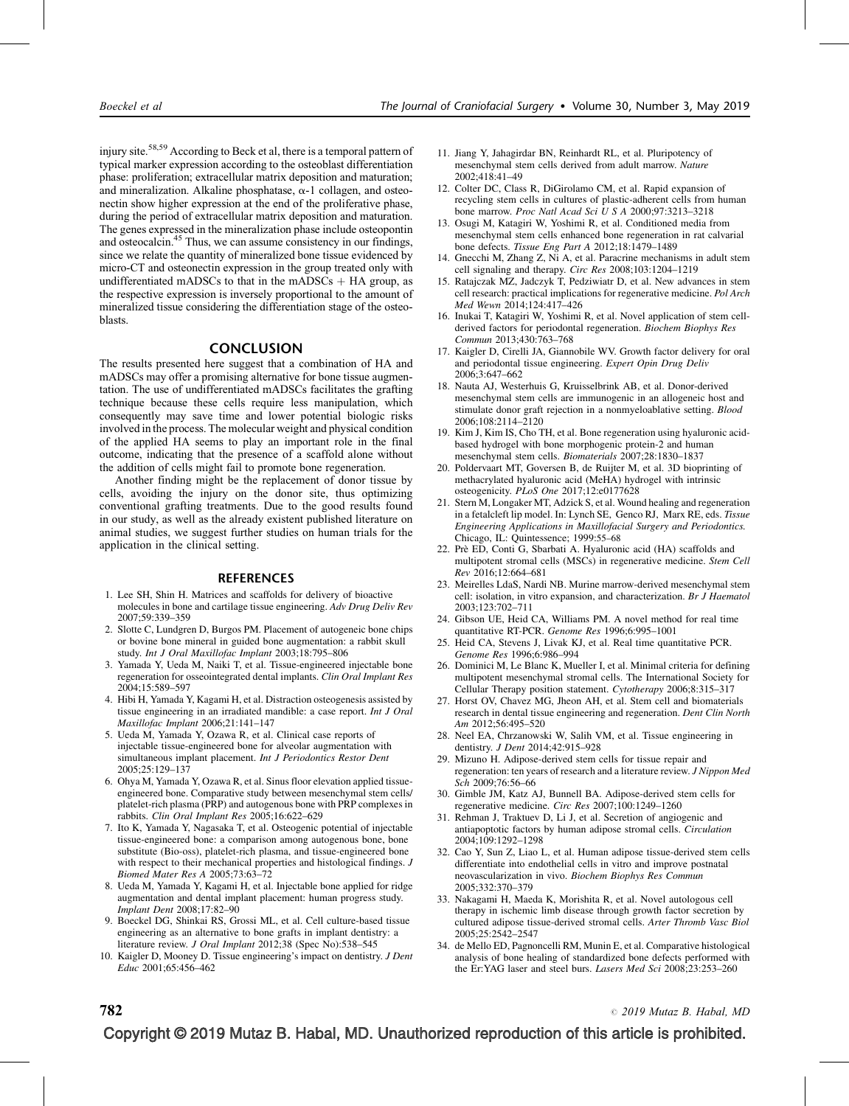<span id="page-5-0"></span>injury site.[58,59](#page-6-0) According to Beck et al, there is a temporal pattern of typical marker expression according to the osteoblast differentiation phase: proliferation; extracellular matrix deposition and maturation; and mineralization. Alkaline phosphatase,  $\alpha$ -1 collagen, and osteonectin show higher expression at the end of the proliferative phase, during the period of extracellular matrix deposition and maturation. The genes expressed in the mineralization phase include osteopontin and osteocalcin.<sup>[45](#page-6-0)</sup> Thus, we can assume consistency in our findings, since we relate the quantity of mineralized bone tissue evidenced by micro-CT and osteonectin expression in the group treated only with undifferentiated mADSCs to that in the mADSCs  $+$  HA group, as the respective expression is inversely proportional to the amount of mineralized tissue considering the differentiation stage of the osteoblasts.

### **CONCLUSION**

The results presented here suggest that a combination of HA and mADSCs may offer a promising alternative for bone tissue augmentation. The use of undifferentiated mADSCs facilitates the grafting technique because these cells require less manipulation, which consequently may save time and lower potential biologic risks involved in the process. The molecular weight and physical condition of the applied HA seems to play an important role in the final outcome, indicating that the presence of a scaffold alone without the addition of cells might fail to promote bone regeneration.

Another finding might be the replacement of donor tissue by cells, avoiding the injury on the donor site, thus optimizing conventional grafting treatments. Due to the good results found in our study, as well as the already existent published literature on animal studies, we suggest further studies on human trials for the application in the clinical setting.

#### **REFERENCES**

- 1. Lee SH, Shin H. Matrices and scaffolds for delivery of bioactive molecules in bone and cartilage tissue engineering. Adv Drug Deliv Rev 2007;59:339–359
- 2. Slotte C, Lundgren D, Burgos PM. Placement of autogeneic bone chips or bovine bone mineral in guided bone augmentation: a rabbit skull study. Int J Oral Maxillofac Implant 2003;18:795–806
- 3. Yamada Y, Ueda M, Naiki T, et al. Tissue-engineered injectable bone regeneration for osseointegrated dental implants. Clin Oral Implant Res 2004;15:589–597
- 4. Hibi H, Yamada Y, Kagami H, et al. Distraction osteogenesis assisted by tissue engineering in an irradiated mandible: a case report. Int J Oral Maxillofac Implant 2006;21:141–147
- 5. Ueda M, Yamada Y, Ozawa R, et al. Clinical case reports of injectable tissue-engineered bone for alveolar augmentation with simultaneous implant placement. Int J Periodontics Restor Dent 2005;25:129–137
- 6. Ohya M, Yamada Y, Ozawa R, et al. Sinus floor elevation applied tissueengineered bone. Comparative study between mesenchymal stem cells/ platelet-rich plasma (PRP) and autogenous bone with PRP complexes in rabbits. Clin Oral Implant Res 2005;16:622–629
- 7. Ito K, Yamada Y, Nagasaka T, et al. Osteogenic potential of injectable tissue-engineered bone: a comparison among autogenous bone, bone substitute (Bio-oss), platelet-rich plasma, and tissue-engineered bone with respect to their mechanical properties and histological findings. J Biomed Mater Res A 2005;73:63–72
- 8. Ueda M, Yamada Y, Kagami H, et al. Injectable bone applied for ridge augmentation and dental implant placement: human progress study. Implant Dent 2008;17:82–90
- 9. Boeckel DG, Shinkai RS, Grossi ML, et al. Cell culture-based tissue engineering as an alternative to bone grafts in implant dentistry: a literature review. J Oral Implant 2012;38 (Spec No):538–545
- 10. Kaigler D, Mooney D. Tissue engineering's impact on dentistry. J Dent Educ 2001;65:456–462
- 11. Jiang Y, Jahagirdar BN, Reinhardt RL, et al. Pluripotency of mesenchymal stem cells derived from adult marrow. Nature 2002;418:41–49
- 12. Colter DC, Class R, DiGirolamo CM, et al. Rapid expansion of recycling stem cells in cultures of plastic-adherent cells from human bone marrow. Proc Natl Acad Sci U S A 2000;97:3213–3218
- 13. Osugi M, Katagiri W, Yoshimi R, et al. Conditioned media from mesenchymal stem cells enhanced bone regeneration in rat calvarial bone defects. Tissue Eng Part A 2012;18:1479–1489
- 14. Gnecchi M, Zhang Z, Ni A, et al. Paracrine mechanisms in adult stem cell signaling and therapy. Circ Res 2008;103:1204–1219
- 15. Ratajczak MZ, Jadczyk T, Pedziwiatr D, et al. New advances in stem cell research: practical implications for regenerative medicine. Pol Arch Med Wewn 2014;124:417–426
- 16. Inukai T, Katagiri W, Yoshimi R, et al. Novel application of stem cellderived factors for periodontal regeneration. Biochem Biophys Res Commun 2013;430:763–768
- 17. Kaigler D, Cirelli JA, Giannobile WV. Growth factor delivery for oral and periodontal tissue engineering. Expert Opin Drug Deliv 2006;3:647–662
- 18. Nauta AJ, Westerhuis G, Kruisselbrink AB, et al. Donor-derived mesenchymal stem cells are immunogenic in an allogeneic host and stimulate donor graft rejection in a nonmyeloablative setting. Blood 2006;108:2114–2120
- 19. Kim J, Kim IS, Cho TH, et al. Bone regeneration using hyaluronic acidbased hydrogel with bone morphogenic protein-2 and human mesenchymal stem cells. Biomaterials 2007;28:1830–1837
- 20. Poldervaart MT, Goversen B, de Ruijter M, et al. 3D bioprinting of methacrylated hyaluronic acid (MeHA) hydrogel with intrinsic osteogenicity. PLoS One 2017;12:e0177628
- 21. Stern M, Longaker MT, Adzick S, et al. Wound healing and regeneration in a fetalcleft lip model. In: Lynch SE, Genco RJ, Marx RE, eds. Tissue Engineering Applications in Maxillofacial Surgery and Periodontics. Chicago, IL: Quintessence; 1999:55–68
- 22. Prè ED, Conti G, Sbarbati A. Hyaluronic acid (HA) scaffolds and multipotent stromal cells (MSCs) in regenerative medicine. Stem Cell Rev 2016;12:664–681
- 23. Meirelles LdaS, Nardi NB. Murine marrow-derived mesenchymal stem cell: isolation, in vitro expansion, and characterization. Br J Haematol 2003;123:702–711
- 24. Gibson UE, Heid CA, Williams PM. A novel method for real time quantitative RT-PCR. Genome Res 1996;6:995–1001
- 25. Heid CA, Stevens J, Livak KJ, et al. Real time quantitative PCR. Genome Res 1996;6:986–994
- 26. Dominici M, Le Blanc K, Mueller I, et al. Minimal criteria for defining multipotent mesenchymal stromal cells. The International Society for Cellular Therapy position statement. Cytotherapy 2006;8:315–317
- 27. Horst OV, Chavez MG, Jheon AH, et al. Stem cell and biomaterials research in dental tissue engineering and regeneration. Dent Clin North Am 2012;56:495–520
- 28. Neel EA, Chrzanowski W, Salih VM, et al. Tissue engineering in dentistry. J Dent 2014;42:915–928
- 29. Mizuno H. Adipose-derived stem cells for tissue repair and regeneration: ten years of research and a literature review. J Nippon Med Sch 2009;76:56–66
- 30. Gimble JM, Katz AJ, Bunnell BA. Adipose-derived stem cells for regenerative medicine. Circ Res 2007;100:1249–1260
- 31. Rehman J, Traktuev D, Li J, et al. Secretion of angiogenic and antiapoptotic factors by human adipose stromal cells. Circulation 2004;109:1292–1298
- 32. Cao Y, Sun Z, Liao L, et al. Human adipose tissue-derived stem cells differentiate into endothelial cells in vitro and improve postnatal neovascularization in vivo. Biochem Biophys Res Commun 2005;332:370–379
- 33. Nakagami H, Maeda K, Morishita R, et al. Novel autologous cell therapy in ischemic limb disease through growth factor secretion by cultured adipose tissue-derived stromal cells. Arter Thromb Vasc Biol 2005;25:2542–2547
- 34. de Mello ED, Pagnoncelli RM, Munin E, et al. Comparative histological analysis of bone healing of standardized bone defects performed with the Er:YAG laser and steel burs. Lasers Med Sci 2008;23:253–260

Copyright © 2019 Mutaz B. Habal, MD. Unauthorized reproduction of this article is prohibited. **782**  $\degree$  2019 Mutaz B. Habal, MD